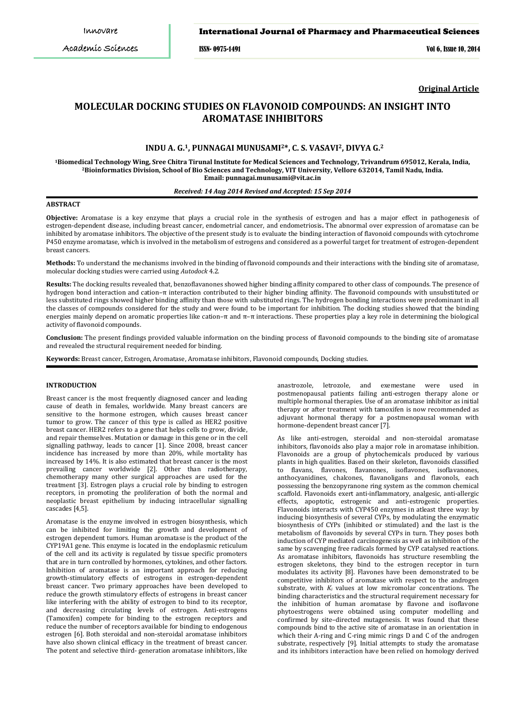# International Journal of Pharmacy and Pharmaceutical Sciences

ISSN- 0975-1491 Vol 6, Issue 10, 2014

**Original Article**

# **MOLECULAR DOCKING STUDIES ON FLAVONOID COMPOUNDS: AN INSIGHT INTO AROMATASE INHIBITORS**

# **INDU A. G.1, PUNNAGAI MUNUSAMI2\*, C. S. VASAVI2, DIVYA G.<sup>2</sup>**

 **Email: punnagai.munusami@vit.ac.in<sup>1</sup>Biomedical Technology Wing, Sree Chitra Tirunal Institute for Medical Sciences and Technology, Trivandrum 695012, Kerala, India, <sup>2</sup>Bioinformatics Division, School of Bio Sciences and Technology, VIT University, Vellore 632014, Tamil Nadu, India.**

#### *Received: 14 Aug 2014 Revised and Accepted: 15 Sep 2014*

# **ABSTRACT**

**Objective:** Aromatase is a key enzyme that plays a crucial role in the synthesis of estrogen and has a major effect in pathogenesis of estrogen-dependent disease, including breast cancer, endometrial cancer, and endometriosis**.** The abnormal over expression of aromatase can be inhibited by aromatase inhibitors. The objective of the present study is to evaluate the binding interaction of flavonoid compounds with cytochrome P450 enzyme aromatase, which is involved in the metabolism of estrogens and considered as a powerful target for treatment of estrogen-dependent breast cancers.

**Methods:** To understand the mechanisms involved in the binding of flavonoid compounds and their interactions with the binding site of aromatase, molecular docking studies were carried using *Autodock* 4.2.

**Results:** The docking results revealed that, benzoflavanones showed higher binding affinity compared to other class of compounds. The presence of hydrogen bond interaction and cation–π interaction contributed to their higher binding affinity. The flavonoid compounds with unsubstituted or less substituted rings showed higher binding affinity than those with substituted rings. The hydrogen bonding interactions were predominant in all the classes of compounds considered for the study and were found to be important for inhibition. The docking studies showed that the binding energies mainly depend on aromatic properties like cation– $\pi$  and  $\pi$ – $\pi$  interactions. These properties play a key role in determining the biological activity of flavonoid compounds.

**Conclusion:** The present findings provided valuable information on the binding process of flavonoid compounds to the binding site of aromatase and revealed the structural requirement needed for binding.

**Keywords:** Breast cancer, Estrogen, Aromatase, Aromatase inhibitors, Flavonoid compounds, Docking studies.

#### **INTRODUCTION**

Breast cancer is the most frequently diagnosed cancer and leading cause of death in females, worldwide. Many breast cancers are sensitive to the hormone estrogen, which causes breast cancer tumor to grow. The cancer of this type is called as HER2 positive breast cancer. HER2 refers to a gene that helps cells to grow, divide, and repair themselves. Mutation or damage in this gene or in the cell signalling pathway, leads to cancer [1]. Since 2008, breast cancer incidence has increased by more than 20%, while mortality has increased by 14%. It is also estimated that breast cancer is the most prevailing cancer worldwide [2]. Other than radiotherapy, chemotherapy many other surgical approaches are used for the treatment [3]. Estrogen plays a crucial role by binding to estrogen receptors, in promoting the proliferation of both the normal and neoplastic breast epithelium by inducing intracellular signalling cascades [4,5].

Aromatase is the enzyme involved in estrogen biosynthesis, which can be inhibited for limiting the growth and development of estrogen dependent tumors. Human aromatase is the product of the CYP19A1 gene. This enzyme is located in the endoplasmic reticulum of the cell and its activity is regulated by tissue specific promoters that are in turn controlled by hormones, cytokines, and other factors. Inhibition of aromatase is an important approach for reducing growth-stimulatory effects of estrogens in estrogen-dependent breast cancer. Two primary approaches have been developed to reduce the growth stimulatory effects of estrogens in breast cancer like interfering with the ability of estrogen to bind to its receptor, and decreasing circulating levels of estrogen. Anti-estrogens (Tamoxifen) compete for binding to the estrogen receptors and reduce the number of receptors available for binding to endogenous estrogen [6]. Both steroidal and non-steroidal aromatase inhibitors have also shown clinical efficacy in the treatment of breast cancer. The potent and selective third- generation aromatase inhibitors, like

anastrozole, letrozole, and exemestane were used in postmenopausal patients failing anti-estrogen therapy alone or multiple hormonal therapies. Use of an aromatase inhibitor as initial therapy or after treatment with tamoxifen is now recommended as adjuvant hormonal therapy for a postmenopausal woman with hormone-dependent breast cancer [7].

As like anti-estrogen, steroidal and non-steroidal aromatase inhibitors, flavonoids also play a major role in aromatase inhibition. Flavonoids are a group of phytochemicals produced by various plants in high qualities. Based on their skeleton, flavonoids classified to flavans, flavones, flavanones, isoflavones, isoflavanones, anthocyanidines, chalcones, flavanoligans and flavonols, each possessing the benzopyranone ring system as the common chemical scaffold. Flavonoids exert anti-inflammatory, analgesic, anti-allergic effects, apoptotic, estrogenic and anti-estrogenic properties. Flavonoids interacts with CYP450 enzymes in atleast three way: by inducing biosynthesis of several CYPs, by modulating the enzymatic biosynthesis of CYPs (inhibited or stimulated) and the last is the metabolism of flavonoids by several CYPs in turn. They poses both induction of CYP mediated carcinogenesis as well as inhibition of the same by scavenging free radicals formed by CYP catalysed reactions. As aromatase inhibitors, flavonoids has structure resembling the estrogen skeletons, they bind to the estrogen receptor in turn modulates its activity [8]. Flavones have been demonstrated to be competitive inhibitors of aromatase with respect to the androgen substrate, with *Ki* values at low micromolar concentrations. The binding characteristics and the structural requirement necessary for the inhibition of human aromatase by flavone and isoflavone phytoestrogens were obtained using computer modelling and confirmed by site–directed mutagenesis. It was found that these compounds bind to the active site of aromatase in an orientation in which their A-ring and C-ring mimic rings D and C of the androgen substrate, respectively [9]. Initial attempts to study the aromatase and its inhibitors interaction have been relied on homology derived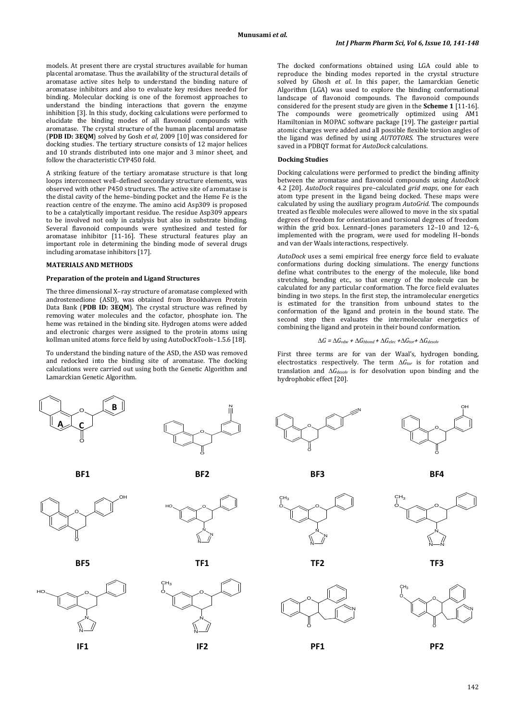models. At present there are crystal structures available for human placental aromatase. Thus the availability of the structural details of aromatase active sites help to understand the binding nature of aromatase inhibitors and also to evaluate key residues needed for binding. Molecular docking is one of the foremost approaches to understand the binding interactions that govern the enzyme inhibition [3]. In this study, docking calculations were performed to elucidate the binding modes of all flavonoid compounds with aromatase. The crystal structure of the human placental aromatase (**PDB ID: 3EQM**) solved by Gosh *et al*, 2009 [10] was considered for docking studies. The tertiary structure consists of 12 major helices and 10 strands distributed into one major and 3 minor sheet, and follow the characteristic CYP450 fold.

A striking feature of the tertiary aromatase structure is that long loops interconnect well–defined secondary structure elements, was observed with other P450 structures. The active site of aromatase is the distal cavity of the heme–binding pocket and the Heme Fe is the reaction centre of the enzyme. The amino acid Asp309 is proposed to be a catalytically important residue. The residue Asp309 appears to be involved not only in catalysis but also in substrate binding. Several flavonoid compounds were synthesized and tested for aromatase inhibitor [11-16]. These structural features play an important role in determining the binding mode of several drugs including aromatase inhibitors [17].

#### **MATERIALS AND METHODS**

#### **Preparation of the protein and Ligand Structures**

The three dimensional X–ray structure of aromatase complexed with androstenedione (ASD), was obtained from Brookhaven Protein Data Bank (**PDB ID: 3EQM**). The crystal structure was refined by removing water molecules and the cofactor, phosphate ion. The heme was retained in the binding site. Hydrogen atoms were added and electronic charges were assigned to the protein atoms using kollman united atoms force field by using AutoDockTools–1.5.6 [18].

To understand the binding nature of the ASD, the ASD was removed and redocked into the binding site of aromatase. The docking calculations were carried out using both the Genetic Algorithm and Lamarckian Genetic Algorithm.













N N O  $CH<sub>3</sub>$ **IF1 IF2 PF1 PF2**

The docked conformations obtained using LGA could able to reproduce the binding modes reported in the crystal structure solved by Ghosh *et al*. In this paper, the Lamarckian Genetic Algorithm (LGA) was used to explore the binding conformational landscape of flavonoid compounds. The flavonoid compounds considered for the present study are given in the **Scheme 1** [11-16]. The compounds were geometrically optimized using AM1 Hamiltonian in MOPAC software package [19]. The gasteiger partial atomic charges were added and all possible flexible torsion angles of the ligand was defined by using *AUTOTORS*. The structures were saved in a PDBQT format for *AutoDock* calculations.

## **Docking Studies**

Docking calculations were performed to predict the binding affinity between the aromatase and flavonoid compounds using *AutoDock* 4.2 [20]. *AutoDock* requires pre–calculated *grid maps*, one for each atom type present in the ligand being docked. These maps were calculated by using the auxiliary program *AutoGrid*. The compounds treated as flexible molecules were allowed to move in the six spatial degrees of freedom for orientation and torsional degrees of freedom within the grid box. Lennard–Jones parameters 12–10 and 12–6, implemented with the program, were used for modeling H–bonds and van der Waals interactions, respectively.

*AutoDock* uses a semi empirical free energy force field to evaluate conformations during docking simulations. The energy functions define what contributes to the energy of the molecule, like bond stretching, bending etc., so that energy of the molecule can be calculated for any particular conformation. The force field evaluates binding in two steps. In the first step, the intramolecular energetics is estimated for the transition from unbound states to the conformation of the ligand and protein in the bound state. The second step then evaluates the intermolecular energetics of combining the ligand and protein in their bound conformation.

# $\Delta G = \Delta G_{vdw} + \Delta G_{hbond} + \Delta G_{elec} + \Delta G_{tor} + \Delta G_{desolv}$

First three terms are for van der Waal's, hydrogen bonding, electrostatics respectively. The term ∆*Gtor* is for rotation and translation and ∆*Gdesolv* is for desolvation upon binding and the hydrophobic effect [20].





**BF1 BF2 BF3 BF4**



O



**BF5 TF1 TF2 TF3**



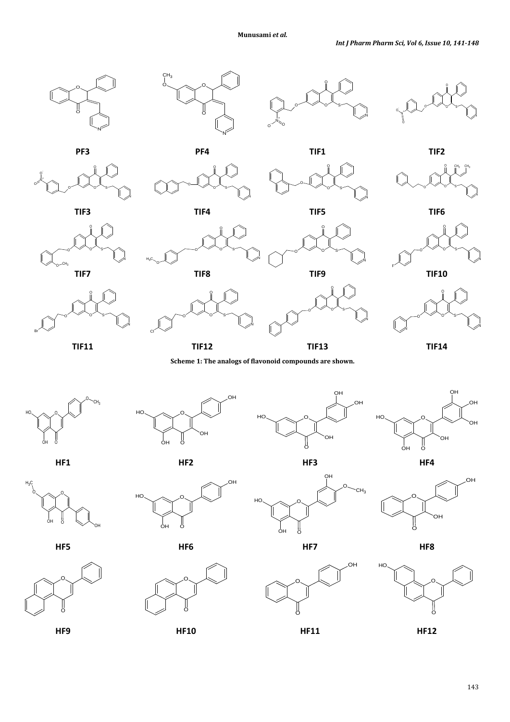



O

 $H_3C$   $\sim$   $\alpha$ 

Cl

 $H_0 \sim 0$ 

























O S

N

N

O

F

O

N



 $O$   $\sim$  CH<sub>3</sub>



OH

OH

ንF









HU A O

OH O



O OH HO O

 $\frac{1}{2}$ 

**HF5 HF6 HF7 HF8**





O

O



OH

O

OH



**HF9 HF10 HF11 HF12**



OH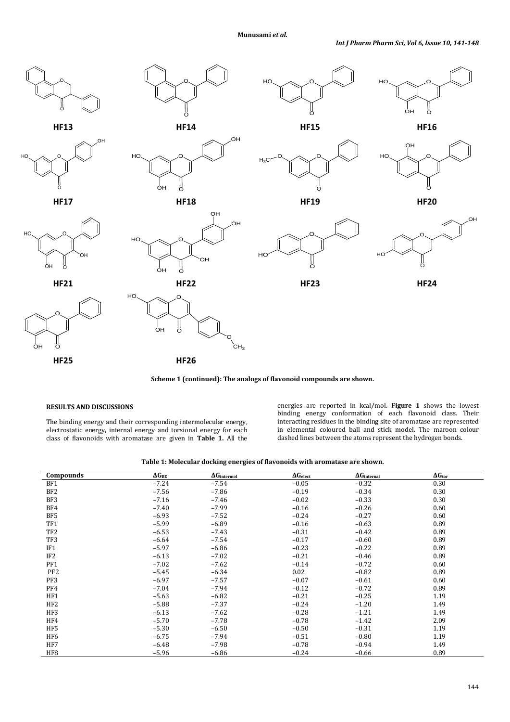



# **RESULTS AND DISCUSSIONS**

The binding energy and their corresponding intermolecular energy, electrostatic energy, internal energy and torsional energy for each class of flavonoids with aromatase are given in **Table 1.** All the energies are reported in kcal/mol. **Figure 1** shows the lowest binding energy conformation of each flavonoid class. Their interacting residues in the binding site of aromatase are represented in elemental coloured ball and stick model. The maroon colour dashed lines between the atoms represent the hydrogen bonds.

| Table 1: Molecular docking energies of flavonoids with aromatase are shown. |  |  |  |
|-----------------------------------------------------------------------------|--|--|--|
|-----------------------------------------------------------------------------|--|--|--|

| Compounds       | $\Delta G_{BE}$ | $\Delta G_{intermol}$ | $\Delta G_{elect}$ | $\Delta G$ internal | $\Delta G_{\rm tor}$ |
|-----------------|-----------------|-----------------------|--------------------|---------------------|----------------------|
| BF1             | $-7.24$         | $-7.54$               | $-0.05$            | $-0.32$             | 0.30                 |
| BF <sub>2</sub> | $-7.56$         | $-7.86$               | $-0.19$            | $-0.34$             | 0.30                 |
| BF3             | $-7.16$         | $-7.46$               | $-0.02$            | $-0.33$             | 0.30                 |
| BF4             | $-7.40$         | $-7.99$               | $-0.16$            | $-0.26$             | 0.60                 |
| BF5             | $-6.93$         | $-7.52$               | $-0.24$            | $-0.27$             | 0.60                 |
| TF1             | $-5.99$         | $-6.89$               | $-0.16$            | $-0.63$             | 0.89                 |
| TF <sub>2</sub> | $-6.53$         | $-7.43$               | $-0.31$            | $-0.42$             | 0.89                 |
| TF3             | $-6.64$         | $-7.54$               | $-0.17$            | $-0.60$             | 0.89                 |
| IF <sub>1</sub> | $-5.97$         | $-6.86$               | $-0.23$            | $-0.22$             | 0.89                 |
| IF2             | $-6.13$         | $-7.02$               | $-0.21$            | $-0.46$             | 0.89                 |
| PF1             | $-7.02$         | $-7.62$               | $-0.14$            | $-0.72$             | 0.60                 |
| PF <sub>2</sub> | $-5.45$         | $-6.34$               | 0.02               | $-0.82$             | 0.89                 |
| PF3             | $-6.97$         | $-7.57$               | $-0.07$            | $-0.61$             | 0.60                 |
| PF4             | $-7.04$         | $-7.94$               | $-0.12$            | $-0.72$             | 0.89                 |
| HF1             | $-5.63$         | $-6.82$               | $-0.21$            | $-0.25$             | 1.19                 |
| HF <sub>2</sub> | $-5.88$         | $-7.37$               | $-0.24$            | $-1.20$             | 1.49                 |
| HF3             | $-6.13$         | $-7.62$               | $-0.28$            | $-1.21$             | 1.49                 |
| HF4             | $-5.70$         | $-7.78$               | $-0.78$            | $-1.42$             | 2.09                 |
| HF5             | $-5.30$         | $-6.50$               | $-0.50$            | $-0.31$             | 1.19                 |
| HF6             | $-6.75$         | $-7.94$               | $-0.51$            | $-0.80$             | 1.19                 |
| HF7             | $-6.48$         | $-7.98$               | $-0.78$            | $-0.94$             | 1.49                 |
| HF <sub>8</sub> | $-5.96$         | $-6.86$               | $-0.24$            | $-0.66$             | 0.89                 |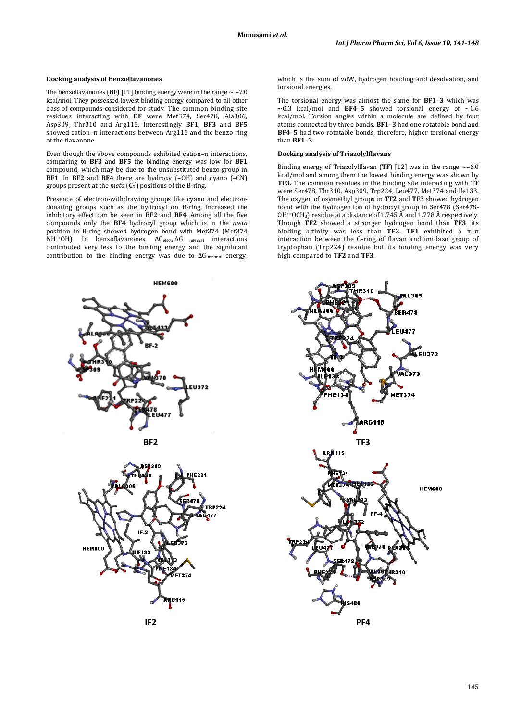# **Docking analysis of Benzoflavanones**

The benzoflavanones (BF) [11] binding energy were in the range  $\sim$  -7.0 kcal/mol. They possessed lowest binding energy compared to all other class of compounds considered for study. The common binding site residues interacting with **BF** were Met374, Ser478, Ala306, Asp309, Thr310 and Arg115. Interestingly **BF1**, **BF3** and **BF5** showed cation–π interactions between Arg115 and the benzo ring of the flavanone.

Even though the above compounds exhibited cation–π interactions, comparing to **BF3** and **BF5** the binding energy was low for **BF1** compound, which may be due to the unsubstituted benzo group in **BF1**. In **BF2** and **BF4** there are hydroxy (–OH) and cyano (–CN) groups present at the *meta* (C<sub>3</sub><sup>'</sup>) positions of the B-ring.

Presence of electron-withdrawing groups like cyano and electrondonating groups such as the hydroxyl on B-ring, increased the inhibitory effect can be seen in **BF2** and **BF4**. Among all the five compounds only the **BF4** hydroxyl group which is in the *meta*  position in B-ring showed hydrogen bond with Met374 (Met374 NH<sup>··</sup>·OH). In benzoflavanones, ΔG<sub>elect</sub>, ΔG <sub>internal</sub> interactions contributed very less to the binding energy and the significant contribution to the binding energy was due to ∆G<sub>intermol</sub> energy,







which is the sum of vdW, hydrogen bonding and desolvation, and torsional energies.

The torsional energy was almost the same for **BF1**–**3** which was  $\sim$ 0.3 kcal/mol and **BF4-5** showed torsional energy of  $\sim$ 0.6 kcal/mol. Torsion angles within a molecule are defined by four atoms connected by three bonds. **BF1**–**3** had one rotatable bond and **BF4**–**5** had two rotatable bonds, therefore, higher torsional energy than **BF1**–**3.**

# **Docking analysis of Triazolylflavans**

Binding energy of Triazolylflavan (**TF**) [12] was in the range  $\sim$ -6.0 kcal/mol and among them the lowest binding energy was shown by **TF3.** The common residues in the binding site interacting with **TF** were Ser478, Thr310, Asp309, Trp224, Leu477, Met374 and Ile133. The oxygen of oxymethyl groups in **TF2** and **TF3** showed hydrogen bond with the hydrogen ion of hydroxyl group in Ser478 (Ser478- OH<sup> $...$ </sup>OCH<sub>3</sub>) residue at a distance of 1.745 Å and 1.778 Å respectively. Though **TF2** showed a stronger hydrogen bond than **TF3**, its binding affinity was less than **TF3**. **TF1** exhibited a π–π interaction between the C-ring of flavan and imidazo group of tryptophan (Trp224) residue but its binding energy was very high compared to **TF2** and **TF3**.

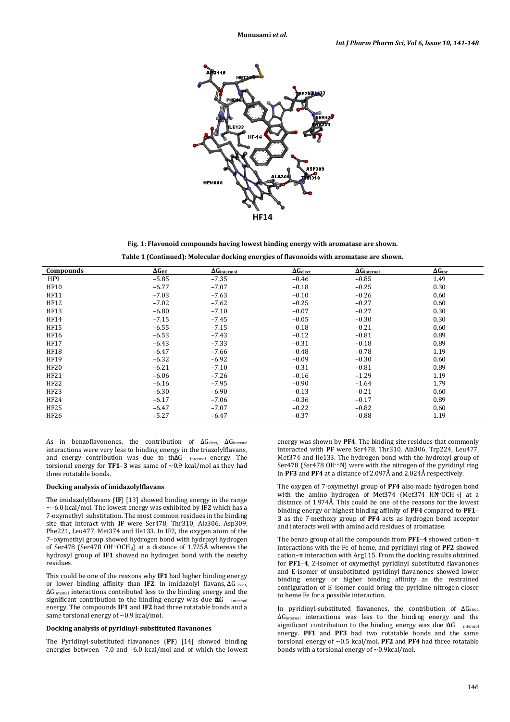

**Fig. 1: Flavonoid compounds having lowest binding energy with aromatase are shown. Table 1 (Continued): Molecular docking energies of flavonoids with aromatase are shown.**

| <b>Compounds</b> | $\Delta G_{\rm BE}$ | $\Delta G_{\rm intermol}$ | $\Delta G_{\rm elect}$ | $\Delta G$ internal | $\Delta G_{\rm tor}$ |
|------------------|---------------------|---------------------------|------------------------|---------------------|----------------------|
| HF9              | $-5.85$             | $-7.35$                   | $-0.46$                | $-0.85$             | 1.49                 |
| <b>HF10</b>      | $-6.77$             | $-7.07$                   | $-0.18$                | $-0.25$             | 0.30                 |
| HF11             | $-7.03$             | $-7.63$                   | $-0.10$                | $-0.26$             | 0.60                 |
| <b>HF12</b>      | $-7.02$             | $-7.62$                   | $-0.25$                | $-0.27$             | 0.60                 |
| <b>HF13</b>      | $-6.80$             | $-7.10$                   | $-0.07$                | $-0.27$             | 0.30                 |
| HF14             | $-7.15$             | $-7.45$                   | $-0.05$                | $-0.30$             | 0.30                 |
| <b>HF15</b>      | $-6.55$             | $-7.15$                   | $-0.18$                | $-0.21$             | 0.60                 |
| <b>HF16</b>      | $-6.53$             | $-7.43$                   | $-0.12$                | $-0.81$             | 0.89                 |
| <b>HF17</b>      | $-6.43$             | $-7.33$                   | $-0.31$                | $-0.18$             | 0.89                 |
| <b>HF18</b>      | $-6.47$             | $-7.66$                   | $-0.48$                | $-0.78$             | 1.19                 |
| <b>HF19</b>      | $-6.32$             | $-6.92$                   | $-0.09$                | $-0.30$             | 0.60                 |
| <b>HF20</b>      | $-6.21$             | $-7.10$                   | $-0.31$                | $-0.81$             | 0.89                 |
| HF21             | $-6.06$             | $-7.26$                   | $-0.16$                | $-1.29$             | 1.19                 |
| HF22             | $-6.16$             | $-7.95$                   | $-0.90$                | $-1.64$             | 1.79                 |
| HF23             | $-6.30$             | $-6.90$                   | $-0.13$                | $-0.21$             | 0.60                 |
| HF24             | $-6.17$             | $-7.06$                   | $-0.36$                | $-0.17$             | 0.89                 |
| <b>HF25</b>      | $-6.47$             | $-7.07$                   | $-0.22$                | $-0.82$             | 0.60                 |
| HF26             | $-5.27$             | $-6.47$                   | $-0.37$                | $-0.88$             | 1.19                 |

As in benzoflavonones, the contribution of ∆G<sub>elect</sub>, ∆G<sub>internal</sub> interactions were very less to binding energy in the triazolylflavans, and energy contribution was due to thAG intermol energy. The torsional energy for **TF1-3** was same of  $\sim$  0.9 kcal/mol as they had three rotatable bonds.

#### **Docking analysis of imidazolylflavans**

The imidazolylflavans (**IF**) [13] showed binding energy in the range  $\sim$ –6.0 kcal/mol. The lowest energy was exhibited by **IF2** which has a 7-oxymethyl substitution. The most common residues in the binding site that interact with **IF** were Ser478, Thr310, Ala306, Asp309, Phe221, Leu477, Met374 and Ile133. In IF2, the oxygen atom of the 7–oxymethyl group showed hydrogen bond with hydroxyl hydrogen of Ser478 (Ser478 OH<sup>...</sup>OCH<sub>3</sub>) at a distance of 1.725Å whereas the hydroxyl group of **IF1** showed no hydrogen bond with the nearby residues.

This could be one of the reasons why **IF1** had higher binding energy or lower binding affinity than **IF2**. In imidazolyl flavans, ∆G elect, ∆Ginternal interactions contributed less to the binding energy and the significant contribution to the binding energy was due to \{ energy. The compounds **IF1** and **IF2** had three rotatable bonds and a same torsional energy of  $\sim$  0.9 kcal/mol.

#### **Docking analysis of pyridinyl**-**substituted flavanones**

The Pyridinyl-substituted flavanones (**PF**) [14] showed binding energies between –7.0 and –6.0 kcal/mol and of which the lowest

energy was shown by **PF4**. The binding site residues that commonly interacted with **PF** were Ser478, Thr310, Ala306, Trp224, Leu477, Met374 and Ile133. The hydrogen bond with the hydroxyl group of Ser478 (Ser478 OH"N) were with the nitrogen of the pyridinyl ring in **PF3** and **PF4** at a distance of 2.097Å and 2.024Å respectively.

The oxygen of 7-oxymethyl group of **PF4** also made hydrogen bond with the amino hydrogen of Met374 (Met374 HN·OCH 3) at a distance of 1.974Å. This could be one of the reasons for the lowest binding energy or highest binding affinity of **PF4** compared to **PF1**– **3** as the 7-methoxy group of **PF4** acts as hydrogen bond acceptor and interacts well with amino acid residues of aromatase.

The benzo group of all the compounds from **PF1**–**4** showed cation–π interactions with the Fe of heme, and pyridinyl ring of **PF2** showed cation–π interaction with Arg115. From the docking results obtained for **PF1**–**4**, Z-isomer of oxymethyl pyridinyl substituted flavanones and E-isomer of unsubstituted pyridinyl flavanones showed lower binding energy or higher binding affinity as the restrained configuration of E-isomer could bring the pyridine nitrogen closer to heme Fe for a possible interaction.

In pyridinyl-substituted flavanones, the contribution of ΔG<sub>elect,</sub> ∆Ginternal interactions was less to the binding energy and the significant contribution to the binding energy was due to √ intermol energy. **PF1** and **PF3** had two rotatable bonds and the same torsional energy of ~0.5 kcal/mol. **PF2** and **PF4** had three rotatable bonds with a torsional energy of  $\sim$  0.9kcal/mol.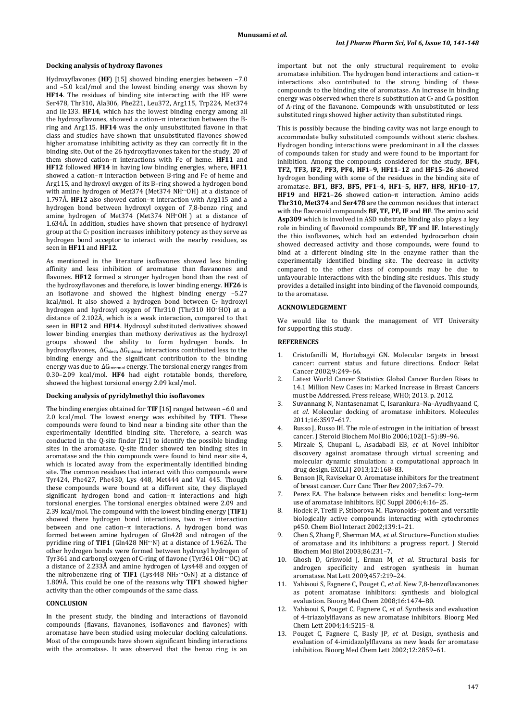#### **Docking analysis of hydroxy flavones**

Hydroxyflavones (**HF**) [15] showed binding energies between –7.0 and –5.0 kcal/mol and the lowest binding energy was shown by **HF14**. The residues of binding site interacting with the HF were Ser478, Thr310, Ala306, Phe221, Leu372, Arg115, Trp224, Met374 and Ile133. **HF14**, which has the lowest binding energy among all the hydroxyflavones, showed a cation–π interaction between the Bring and Arg115. **HF14** was the only unsubstituted flavone in that class and studies have shown that unsubstituted flavones showed higher aromatase inhibiting activity as they can correctly fit in the binding site. Out of the 26 hydroxyflavones taken for the study, 20 of them showed cation–π interactions with Fe of heme. **HF11** and **HF12** followed **HF14** in having low binding energies, where, **HF11** showed a cation– $\pi$  interaction between B-ring and Fe of heme and Arg115, and hydroxyl oxygen of its B–ring showed a hydrogen bond with amine hydrogen of Met374 (Met374 NH<sup>...</sup>OH) at a distance of 1.797Å. **HF12** also showed cation–π interaction with Arg115 and a hydrogen bond between hydroxyl oxygen of 7,8-benzo ring and amine hydrogen of Met374 (Met374 NH<sup>·</sup>OH) at a distance of 1.634Å. In addition, studies have shown that presence of hydroxyl group at the  $C_7$  position increases inhibitory potency as they serve as hydrogen bond acceptor to interact with the nearby residues, as seen in **HF11** and **HF12**.

As mentioned in the literature isoflavones showed less binding affinity and less inhibition of aromatase than flavanones and flavones. **HF12** formed a stronger hydrogen bond than the rest of the hydroxyflavones and therefore, is lower binding energy. **HF26** is an isoflavone and showed the highest binding energy –5.27 kcal/mol. It also showed a hydrogen bond between C<sub>7</sub> hydroxyl hydrogen and hydroxyl oxygen of Thr310 (Thr310 HO·HO) at a distance of 2.102Å, which is a weak interaction, compared to that seen in **HF12** and **HF14**. Hydroxyl substituted derivatives showed lower binding energies than methoxy derivatives as the hydroxyl groups showed the ability to form hydrogen bonds. In hydroxyflavones, ∆Gelect, ∆Ginternal interactions contributed less to the binding energy and the significant contribution to the binding energy was due to ∆G<sub>intermol</sub> energy. The torsional energy ranges from 0.30–2.09 kcal/mol. **HF4** had eight rotatable bonds, therefore, showed the highest torsional energy 2.09 kcal/mol.

#### **Docking analysis of pyridylmethyl thio isoflavones**

The binding energies obtained for **TIF** [16] ranged between –6.0 and 2.0 kcal/mol. The lowest energy was exhibited by **TIF1**. These compounds were found to bind near a binding site other than the experimentally identified binding site. Therefore, a search was conducted in the Q-site finder [21] to identify the possible binding sites in the aromatase. Q-site finder showed ten binding sites in aromatase and the thio compounds were found to bind near site 4, which is located away from the experimentally identified binding site. The common residues that interact with thio compounds were Tyr424, Phe427, Phe430, Lys 448, Met444 and Val 445. Though these compounds were bound at a different site, they displayed significant hydrogen bond and cation–π interactions and high torsional energies. The torsional energies obtained were 2.09 and 2.39 kcal/mol. The compound with the lowest binding energy (**TIF1**) showed there hydrogen bond interactions, two  $\pi-\pi$  interaction between and one cation–π interactions. A hydrogen bond was formed between amine hydrogen of Gln428 and nitrogen of the pyridine ring of **TIF1** (Gln428 NH···N) at a distance of 1.962Å. The other hydrogen bonds were formed between hydroxyl hydrogen of Tyr361 and carbonyl oxygen of C-ring of flavone (Tyr361 OH···OC) at a distance of 2.233Å and amine hydrogen of Lys448 and oxygen of the nitrobenzene ring of TIF1 (Lys448  $NH_2$ <sup>\*\*</sup>O<sub>2</sub>N) at a distance of 1.809Å. This could be one of the reasons why **TIF1** showed higher activity than the other compounds of the same class.

## **CONCLUSION**

In the present study, the binding and interactions of flavonoid compounds (flavans, flavanones, isoflavones and flavones) with aromatase have been studied using molecular docking calculations. Most of the compounds have shown significant binding interactions with the aromatase. It was observed that the benzo ring is an important but not the only structural requirement to evoke aromatase inhibition. The hydrogen bond interactions and cation–π interactions also contributed to the strong binding of these compounds to the binding site of aromatase. An increase in binding energy was observed when there is substitution at  $C_7$  and  $C_8$  position of A-ring of the flavanone. Compounds with unsubstituted or less substituted rings showed higher activity than substituted rings.

This is possibly because the binding cavity was not large enough to accommodate bulky substituted compounds without steric clashes. Hydrogen bonding interactions were predominant in all the classes of compounds taken for study and were found to be important for inhibition. Among the compounds considered for the study, **BF4, TF2, TF3, IF2, PF3, PF4, HF1**–**9, HF11**–**12** and **HF15**–**26** showed hydrogen bonding with some of the residues in the binding site of aromatase. **BF1, BF3, BF5, PF1**–**4, HF1**–**5, HF7, HF8, HF10**–**17, HF19** and **HF21**–**26** showed cation–π interaction. Amino acids **Thr310, Met374** and **Ser478** are the common residues that interact with the flavonoid compounds **BF, TF, PF, IF** and **HF**. The amino acid **Asp309** which is involved in ASD substrate binding also plays a key role in binding of flavonoid compounds **BF, TF** and **IF**. Interestingly the thio isoflavones, which had an extended hydrocarbon chain showed decreased activity and those compounds, were found to bind at a different binding site in the enzyme rather than the experimentally identified binding site. The decrease in activity compared to the other class of compounds may be due to unfavourable interactions with the binding site residues. This study provides a detailed insight into binding of the flavonoid compounds, to the aromatase.

#### **ACKNOWLEDGEMENT**

We would like to thank the management of VIT University for supporting this study.

# **REFERENCES**

- 1. Cristofanilli M, Hortobagyi GN. Molecular targets in breast cancer: current status and future directions. Endocr Relat Cancer 2002;9:249–66.
- 2. Latest World Cancer Statistics Global Cancer Burden Rises to 14.1 Million New Cases in: Marked Increase in Breast Cancers must be Addressed. Press release, WHO; 2013. p. 2012.
- 3. Suvannang N, Nantasenamat C, Isarankura–Na–Ayudhyaand C, *et al*. Molecular docking of aromatase inhibitors. Molecules 2011;16:3597–617.
- 4. Russo J, Russo IH. The role of estrogen in the initiation of breast cancer. J Steroid Biochem Mol Bio 2006;102(1–5):89–96.
- 5. Mirzaie S, Chupani L, Asadabadi EB, *et al*. Novel inhibitor discovery against aromatase through virtual screening and molecular dynamic simulation: a computational approach in drug design. EXCLI J 2013;12:168–83.
- 6. Benson JR, Ravisekar O. Aromatase inhibitors for the treatment of breast cancer. Curr Canc Ther Rev 2007;3:67–79.
- 7. Perez EA. The balance between risks and benefits: long–term use of aromatase inhibitors. EJC Suppl 2006;4:16–25.
- 8. Hodek P, Trefil P, Stiborova M. Flavonoids–potent and versatile biologically active compounds interacting with cytochromes p450. Chem Biol Interact 2002;139:1–21.
- 9. Chen S, Zhang F, Sherman MA, *et al*. Structure–Function studies of aromatase and its inhibitors: a progress report. J Steroid Biochem Mol Biol 2003;86:231–7.
- 10. Ghosh D, Griswold J, Erman M, *et al*. Structural basis for androgen specificity and estrogen synthesis in human aromatase. Nat Lett 2009;457:219–24.
- 11. Yahiaoui S, Fagnere C, Pouget C, *et al*. New 7,8-benzoflavanones as potent aromatase inhibitors: synthesis and biological evaluation. Bioorg Med Chem 2008;16:1474–80.
- 12. Yahiaoui S, Pouget C, Fagnere C, *et al*. Synthesis and evaluation of 4-triazolylflavans as new aromatase inhibitors. Bioorg Med Chem Lett 2004;14:5215–8.
- 13. Pouget C, Fagnere C, Basly JP, *et al*. Design, synthesis and evaluation of 4-imidazolylflavans as new leads for aromatase inhibition. Bioorg Med Chem Lett 2002;12:2859–61.